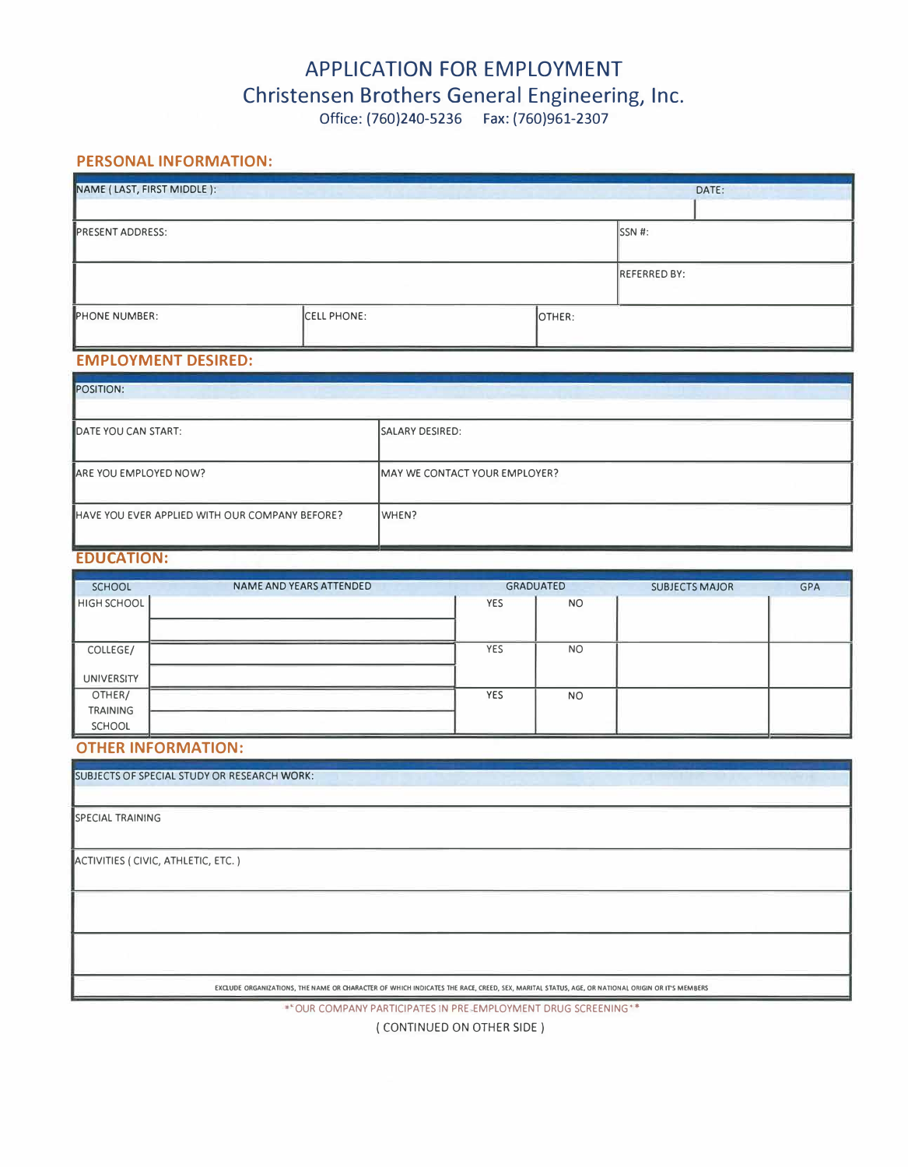# **APPLICATION FOR EMPLOYMENT Christensen Brothers General Engineering, Inc.**

# Office: {760)240-5236 Fax: (760)961-2307

## **PERSONAL INFORMATION:**

| NAME (LAST, FIRST MIDDLE): |                    |        |                     | DATE: |
|----------------------------|--------------------|--------|---------------------|-------|
| <b>PRESENT ADDRESS:</b>    |                    |        | SSN #:              |       |
|                            |                    |        | <b>REFERRED BY:</b> |       |
| PHONE NUMBER:              | <b>CELL PHONE:</b> | OTHER: |                     |       |

#### **EMPLOYMENT DESIRED:**

| <b>POSITION:</b>                               |                               |  |  |  |
|------------------------------------------------|-------------------------------|--|--|--|
| DATE YOU CAN START:                            | <b>ISALARY DESIRED:</b>       |  |  |  |
| ARE YOU EMPLOYED NOW?                          | MAY WE CONTACT YOUR EMPLOYER? |  |  |  |
| HAVE YOU EVER APPLIED WITH OUR COMPANY BEFORE? | WHEN?                         |  |  |  |

## **EDUCATION:**

| <b>SCHOOL</b>                    | NAME AND YEARS ATTENDED | <b>GRADUATED</b> |           | <b>SUBJECTS MAJOR</b> | <b>GPA</b> |
|----------------------------------|-------------------------|------------------|-----------|-----------------------|------------|
| HIGH SCHOOL                      |                         | YES              | <b>NO</b> |                       |            |
| COLLEGE/                         |                         | YES              | <b>NO</b> |                       |            |
| <b>UNIVERSITY</b>                |                         |                  |           |                       |            |
| OTHER/                           |                         | YES              | <b>NO</b> |                       |            |
| <b>TRAINING</b><br><b>SCHOOL</b> |                         |                  |           |                       |            |

### **OTHER INFORMATION:**

SUBJECTS OF SPECIAL STUDY OR RESEARCH **WORK:**

SPECIAL TRAINING

ACTIVITIES ( CIVIC, ATHLETIC, ETC.)

EXCLUDE ORGANIZATIONS, THE NAME OR CHARACTER OF WHICH INDICATES THE RACE, CREED, SEX, MARITAL STATUS, AGE, OR NATIONAL ORIGIN OR IT'S MEMBERS

· OUR COMPANY PARTICIPATES IN PRE EMPLOYMENT DRUG SCREENING·•

( CONTINUED ON OTHER SIDE)